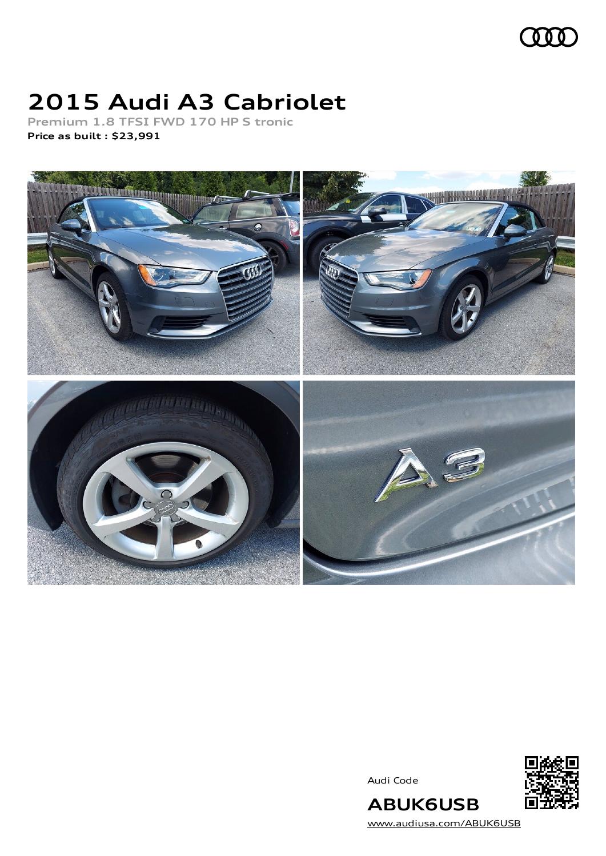

# **2015 Audi A3 Cabriolet**

**Premium 1.8 TFSI FWD 170 HP S tronic Price as built [:](#page-8-0) \$23,991**



Audi Code



[www.audiusa.com/ABUK6USB](https://www.audiusa.com/ABUK6USB)

**ABUK6USB**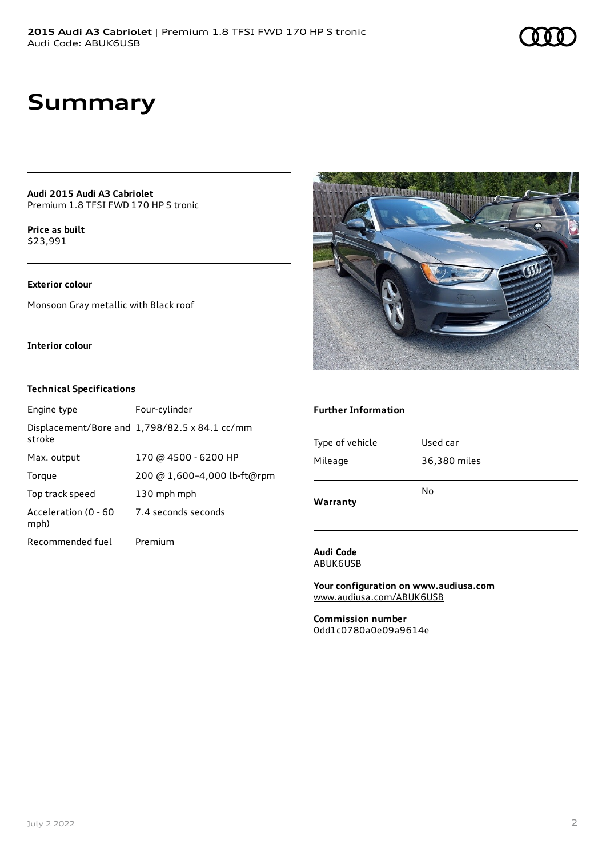### **Summary**

**Audi 2015 Audi A3 Cabriolet** Premium 1.8 TFSI FWD 170 HP S tronic

**Price as buil[t](#page-8-0)** \$23,991

### **Exterior colour**

Monsoon Gray metallic with Black roof

### **Interior colour**

### **Technical Specifications**

| Engine type                  | Four-cylinder                                 |
|------------------------------|-----------------------------------------------|
| stroke                       | Displacement/Bore and 1,798/82.5 x 84.1 cc/mm |
| Max. output                  | 170 @ 4500 - 6200 HP                          |
| Torque                       | 200 @ 1,600-4,000 lb-ft@rpm                   |
| Top track speed              | 130 mph mph                                   |
| Acceleration (0 - 60<br>mph) | 7.4 seconds seconds                           |
| Recommended fuel             | Premium                                       |



### **Further Information**

| Warranty        | No           |  |
|-----------------|--------------|--|
| Mileage         | 36,380 miles |  |
| Type of vehicle | Used car     |  |
|                 |              |  |

#### **Audi Code** ABUK6USB

**Your configuration on www.audiusa.com** [www.audiusa.com/ABUK6USB](https://www.audiusa.com/ABUK6USB)

**Commission number** 0dd1c0780a0e09a9614e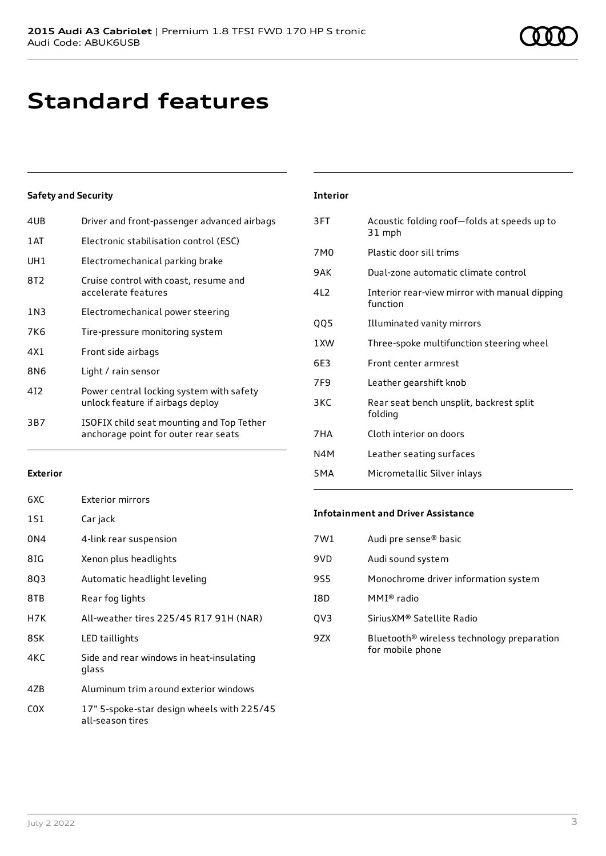## **Standard features**

### **Safety and Security**

| 4UB   | Driver and front-passenger advanced airbags                                       |
|-------|-----------------------------------------------------------------------------------|
| 1AT   | Electronic stabilisation control (ESC)                                            |
| UH1   | Electromechanical parking brake                                                   |
| 8T2   | Cruise control with coast, resume and<br>accelerate features                      |
| 1 N 3 | Electromechanical power steering                                                  |
| 7K6   | Tire-pressure monitoring system                                                   |
| 4X1   | Front side airbags                                                                |
| 8N6   | Light / rain sensor                                                               |
| 412   | Power central locking system with safety<br>unlock feature if airbags deploy      |
| 3B7   | ISOFIX child seat mounting and Top Tether<br>anchorage point for outer rear seats |
|       |                                                                                   |

#### **Interior**

| 3FT              | Acoustic folding roof-folds at speeds up to<br>31 mph     |
|------------------|-----------------------------------------------------------|
| 7M0              | Plastic door sill trims                                   |
| 9AK              | Dual-zone automatic climate control                       |
| 412              | Interior rear-view mirror with manual dipping<br>function |
| QQ5              | Illuminated vanity mirrors                                |
| 1 XW             | Three-spoke multifunction steering wheel                  |
| 6F3              | Front center armrest                                      |
| 7F <sub>9</sub>  | Leather gearshift knob                                    |
| 3KC              | Rear seat bench unsplit, backrest split<br>folding        |
| 7HA              | Cloth interior on doors                                   |
| N4M              | Leather seating surfaces                                  |
| 5 <sub>M</sub> A | Micrometallic Silver inlays                               |
|                  |                                                           |

### **Exterior**

| 6XC | <b>Exterior mirrors</b>                                        |
|-----|----------------------------------------------------------------|
| 1S1 | Car jack                                                       |
| 0N4 | 4-link rear suspension                                         |
| 8IG | Xenon plus headlights                                          |
| 803 | Automatic headlight leveling                                   |
| 8TB | Rear fog lights                                                |
| H7K | All-weather tires 225/45 R17 91H (NAR)                         |
| 8SK | LED taillights                                                 |
| 4KC | Side and rear windows in heat-insulating<br>glass              |
| 4ZB | Aluminum trim around exterior windows                          |
| cox | 17" 5-spoke-star design wheels with 225/45<br>all-season tires |

### **Infotainment and Driver Assistance**

| Audi pre sense® basic                                                      |
|----------------------------------------------------------------------------|
| Audi sound system                                                          |
| Monochrome driver information system                                       |
| MMI® radio                                                                 |
| Sirius XM® Satellite Radio                                                 |
| Bluetooth <sup>®</sup> wireless technology preparation<br>for mobile phone |
|                                                                            |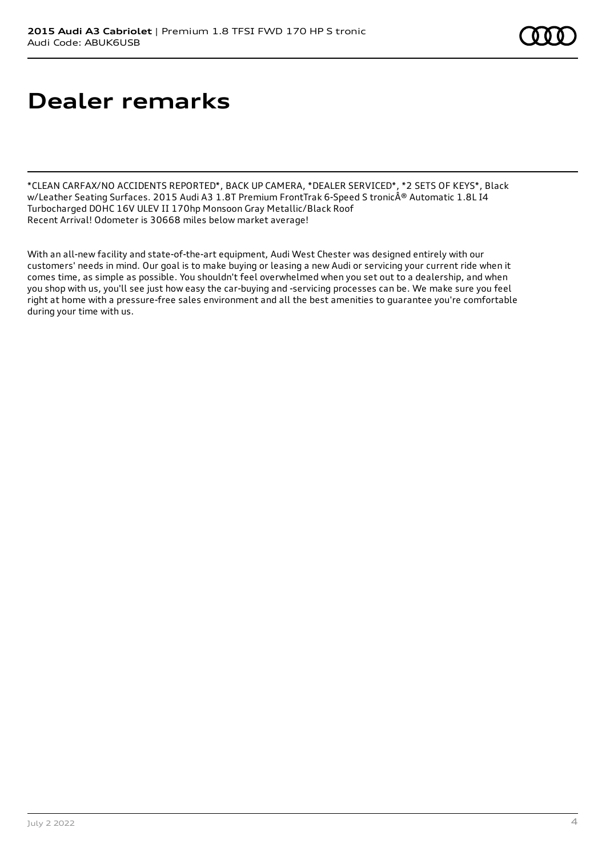# **Dealer remarks**

\*CLEAN CARFAX/NO ACCIDENTS REPORTED\*, BACK UP CAMERA, \*DEALER SERVICED\*, \*2 SETS OF KEYS\*, Black w/Leather Seating Surfaces. 2015 Audi A3 1.8T Premium FrontTrak 6-Speed S tronic® Automatic 1.8L I4 Turbocharged DOHC 16V ULEV II 170hp Monsoon Gray Metallic/Black Roof Recent Arrival! Odometer is 30668 miles below market average!

With an all-new facility and state-of-the-art equipment, Audi West Chester was designed entirely with our customers' needs in mind. Our goal is to make buying or leasing a new Audi or servicing your current ride when it comes time, as simple as possible. You shouldn't feel overwhelmed when you set out to a dealership, and when you shop with us, you'll see just how easy the car-buying and -servicing processes can be. We make sure you feel right at home with a pressure-free sales environment and all the best amenities to guarantee you're comfortable during your time with us.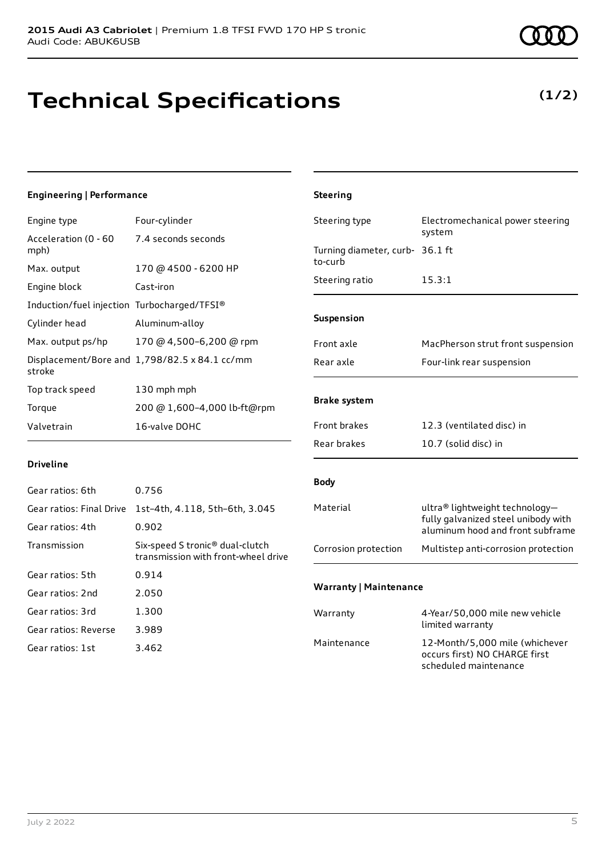### **Technical Specifications**

### **Engineering | Performance**

| Engine type                                      | Four-cylinder                                 |
|--------------------------------------------------|-----------------------------------------------|
| Acceleration (0 - 60 7.4 seconds seconds<br>mph) |                                               |
| Max. output                                      | 170 @ 4500 - 6200 HP                          |
| Engine block                                     | Cast-iron                                     |
| Induction/fuel injection Turbocharged/TFSI®      |                                               |
| Cylinder head                                    | Aluminum-alloy                                |
| Max. output ps/hp                                | 170 @ 4,500-6,200 @ rpm                       |
| stroke                                           | Displacement/Bore and 1,798/82.5 x 84.1 cc/mm |
| Top track speed                                  | 130 mph mph                                   |
| Torque                                           | 200 @ 1,600-4,000 lb-ft@rpm                   |
| Valvetrain                                       | 16-valve DOHC                                 |

#### **Driveline**

| Gear ratios: 6th         | 0.756                                                                              |
|--------------------------|------------------------------------------------------------------------------------|
| Gear ratios: Final Drive | 1st-4th, 4.118, 5th-6th, 3.045                                                     |
| Gear ratios: 4th         | 0.902                                                                              |
| Transmission             | Six-speed S tronic <sup>®</sup> dual-clutch<br>transmission with front-wheel drive |
| Gear ratios: 5th         | 0.914                                                                              |
| Gear ratios: 2nd         | 2.050                                                                              |
| Gear ratios: 3rd         | 1.300                                                                              |
| Gear ratios: Reverse     | 3.989                                                                              |
| Gear ratios: 1st         | 3.462                                                                              |
|                          |                                                                                    |

### **Steering** Steering type Electromechanical power steering system Turning diameter, curb-36.1 ft to-curb Steering ratio 15.3:1 **Suspension** Front axle MacPherson strut front suspension Rear axle Four-link rear suspension **Brake system** Front brakes 12.3 (ventilated disc) in Rear brakes 10.7 (solid disc) in **Body** Material ultra® lightweight technologyfully galvanized steel unibody with aluminum hood and front subframe Corrosion protection Multistep anti-corrosion protection **Warranty | Maintenance** Warranty 4-Year/50,000 mile new vehicle limited warranty Maintenance 12-Month/5,000 mile (whichever

occurs first) NO CHARGE first scheduled maintenance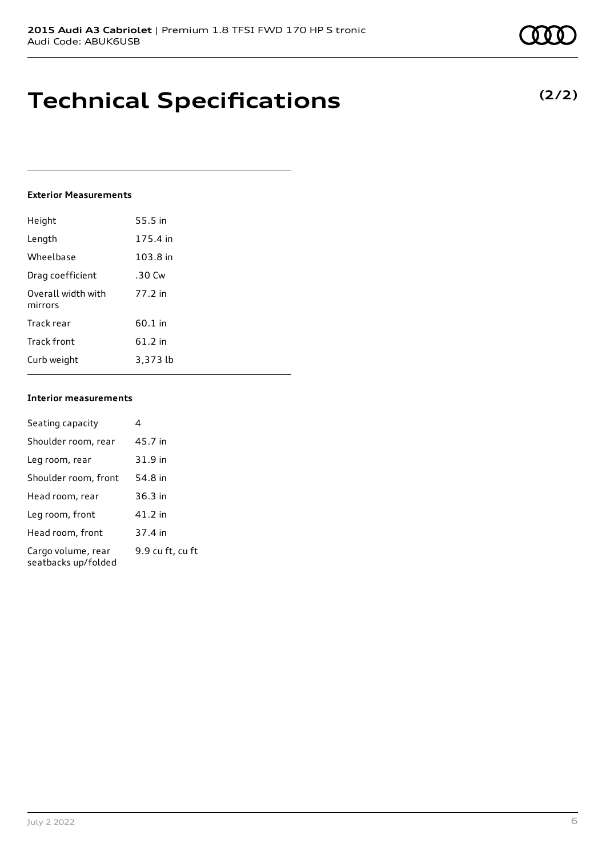**Technical Specifications**

### **Exterior Measurements**

| Height                        | 55.5 in   |
|-------------------------------|-----------|
| Length                        | 175.4 in  |
| Wheelbase                     | 103.8 in  |
| Drag coefficient              | .30 Cw    |
| Overall width with<br>mirrors | 77.2 in   |
| Track rear                    | $60.1$ in |
| <b>Track front</b>            | 61.2 in   |
| Curb weight                   | 3,373 lb  |

#### **Interior measurements**

| Seating capacity                          | 4                |
|-------------------------------------------|------------------|
| Shoulder room, rear                       | 45.7 in          |
| Leg room, rear                            | 31.9 in          |
| Shoulder room, front                      | 54.8 in          |
| Head room, rear                           | $36.3$ in        |
| Leg room, front                           | 41.2 in          |
| Head room, front                          | 37.4 in          |
| Cargo volume, rear<br>seatbacks up/folded | 9.9 cu ft, cu ft |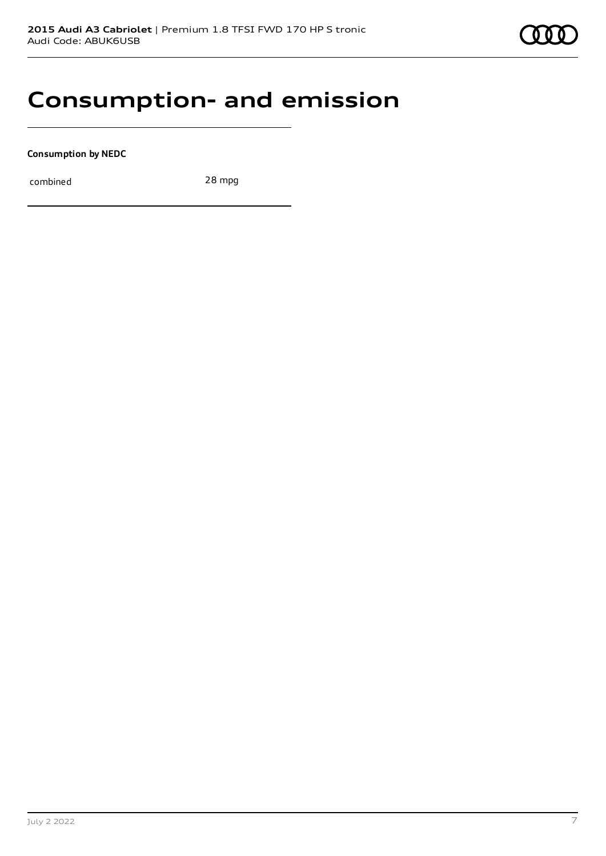### **Consumption- and emission**

**Consumption by NEDC**

combined 28 mpg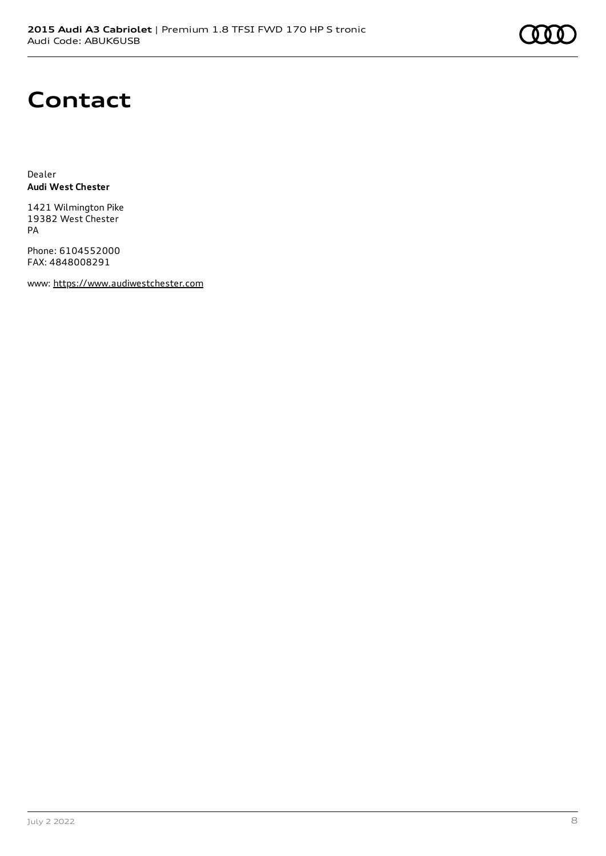# **Contact**

Dealer **Audi West Chester**

1421 Wilmington Pike 19382 West Chester PA

Phone: 6104552000 FAX: 4848008291

www: [https://www.audiwestchester.com](https://www.audiwestchester.com/)